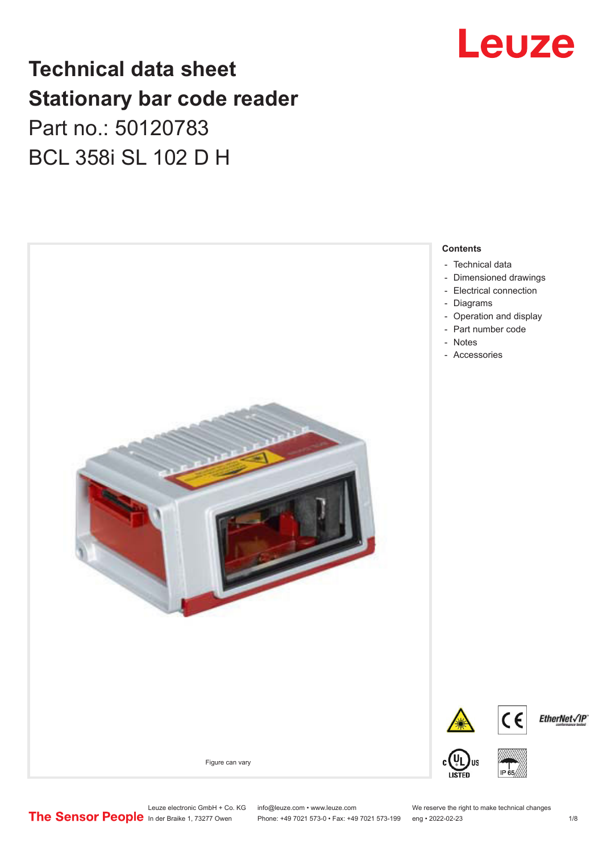# Leuze

## **Technical data sheet Stationary bar code reader** Part no.: 50120783 BCL 358i SL 102 D H



Leuze electronic GmbH + Co. KG info@leuze.com • www.leuze.com We reserve the right to make technical changes<br>
The Sensor People in der Braike 1, 73277 Owen Phone: +49 7021 573-0 • Fax: +49 7021 573-199 eng • 2022-02-23

Phone: +49 7021 573-0 • Fax: +49 7021 573-199 eng • 2022-02-23 1 /8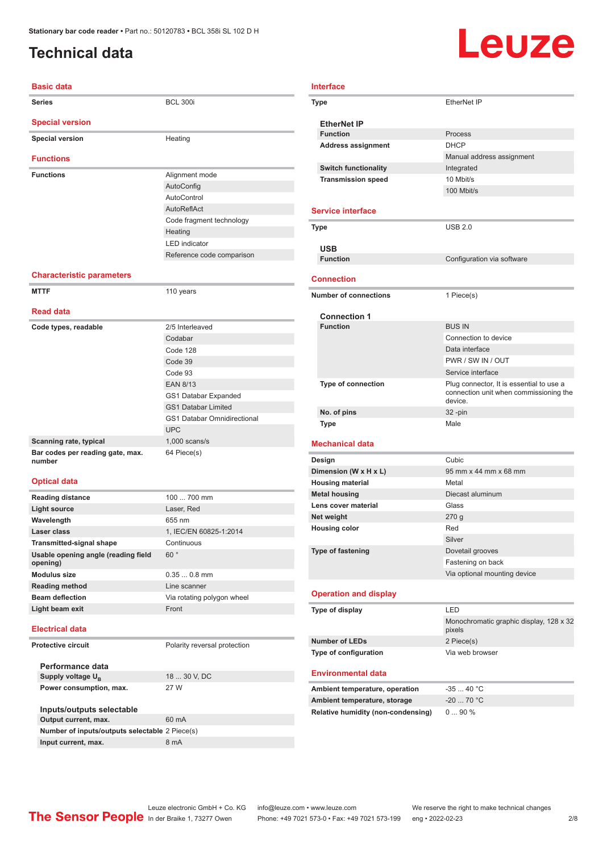### <span id="page-1-0"></span>**Technical data**

# Leuze

| <b>Basic data</b>                          |                                    |
|--------------------------------------------|------------------------------------|
| <b>Series</b>                              | <b>BCL 300i</b>                    |
| <b>Special version</b>                     |                                    |
| <b>Special version</b>                     | Heating                            |
|                                            |                                    |
| <b>Functions</b>                           |                                    |
| <b>Functions</b>                           | Alignment mode                     |
|                                            | AutoConfig                         |
|                                            | AutoControl                        |
|                                            | <b>AutoReflAct</b>                 |
|                                            | Code fragment technology           |
|                                            | Heating                            |
|                                            | <b>LED</b> indicator               |
|                                            | Reference code comparison          |
|                                            |                                    |
| <b>Characteristic parameters</b>           |                                    |
| <b>MTTF</b>                                | 110 years                          |
|                                            |                                    |
| <b>Read data</b>                           |                                    |
| Code types, readable                       | 2/5 Interleaved                    |
|                                            | Codabar                            |
|                                            | Code 128                           |
|                                            | Code 39                            |
|                                            | Code 93                            |
|                                            | <b>EAN 8/13</b>                    |
|                                            | GS1 Databar Expanded               |
|                                            | <b>GS1 Databar Limited</b>         |
|                                            | <b>GS1 Databar Omnidirectional</b> |
|                                            | <b>UPC</b>                         |
| Scanning rate, typical                     | $1,000$ scans/s                    |
| Bar codes per reading gate, max.<br>number | 64 Piece(s)                        |
| <b>Optical data</b>                        |                                    |
| <b>Reading distance</b>                    | 100  700 mm                        |
| <b>Light source</b>                        | Laser, Red                         |
| Wavelength                                 | 655 nm                             |
| Laser class                                | 1, IEC/EN 60825-1:2014             |
| <b>Transmitted-signal shape</b>            | Continuous                         |
| Usable opening angle (reading field        | 60°                                |
| opening)                                   |                                    |
| Modulus size                               | $0.350.8$ mm                       |

#### **Electrical data**

**Protective circuit** Polarity reversal protection

**Performance data Supply voltage U<sub>B</sub> Power consumption, max.** 27 W

18 ... 30 V, DC

**Inputs/outputs selectable Output current, max.** 60 mA **Number of inputs/outputs selectable** 2 Piece(s) **Input current, max.** 8 mA

**Reading method** Line scanner

**Light beam exit** Front

**Beam deflection** Via rotating polygon wheel

| Type                         | EtherNet IP                                                                                   |
|------------------------------|-----------------------------------------------------------------------------------------------|
| <b>EtherNet IP</b>           |                                                                                               |
| <b>Function</b>              | Process                                                                                       |
| <b>Address assignment</b>    | <b>DHCP</b>                                                                                   |
|                              | Manual address assignment                                                                     |
| <b>Switch functionality</b>  | Integrated                                                                                    |
| <b>Transmission speed</b>    | 10 Mbit/s                                                                                     |
|                              | 100 Mbit/s                                                                                    |
| <b>Service interface</b>     |                                                                                               |
| Type                         | <b>USB 2.0</b>                                                                                |
| <b>USB</b>                   |                                                                                               |
| <b>Function</b>              | Configuration via software                                                                    |
| <b>Connection</b>            |                                                                                               |
| <b>Number of connections</b> | 1 Piece(s)                                                                                    |
| <b>Connection 1</b>          |                                                                                               |
| <b>Function</b>              | <b>BUS IN</b>                                                                                 |
|                              | Connection to device                                                                          |
|                              | Data interface                                                                                |
|                              | PWR / SW IN / OUT                                                                             |
|                              | Service interface                                                                             |
| <b>Type of connection</b>    | Plug connector, It is essential to use a<br>connection unit when commissioning the<br>device. |
| No. of pins                  | 32 -pin                                                                                       |
| Type                         | Male                                                                                          |
| <b>Mechanical data</b>       |                                                                                               |
| Design                       | Cubic                                                                                         |
| Dimension (W x H x L)        | 95 mm x 44 mm x 68 mm                                                                         |
| <b>Housing material</b>      | Metal                                                                                         |
| <b>Metal housing</b>         | Diecast aluminum                                                                              |
| Lens cover material          | Glass                                                                                         |
| Net weight                   | 270q                                                                                          |
| <b>Housing color</b>         | Red                                                                                           |
|                              | Silver                                                                                        |
| Type of fastening            | Dovetail grooves                                                                              |
|                              | Fastening on back                                                                             |
|                              | Via optional mounting device                                                                  |
| <b>Operation and display</b> |                                                                                               |
| Tyne of display              | <b>IFD</b>                                                                                    |

| I FD.                                             |  |
|---------------------------------------------------|--|
| Monochromatic graphic display, 128 x 32<br>pixels |  |
| 2 Piece(s)                                        |  |
| Via web browser                                   |  |
|                                                   |  |

#### **Environmental data**

| Ambient temperature, operation     | -35  40 °C  |
|------------------------------------|-------------|
| Ambient temperature, storage       | $-20$ 70 °C |
| Relative humidity (non-condensing) | $090\%$     |

Leuze electronic GmbH + Co. KG info@leuze.com • www.leuze.com We reserve the right to make technical changes<br>
The Sensor People in der Braike 1, 73277 Owen Phone: +49 7021 573-0 • Fax: +49 7021 573-199 eng • 2022-02-23 Phone: +49 7021 573-0 • Fax: +49 7021 573-199 eng • 2022-02-23 2/8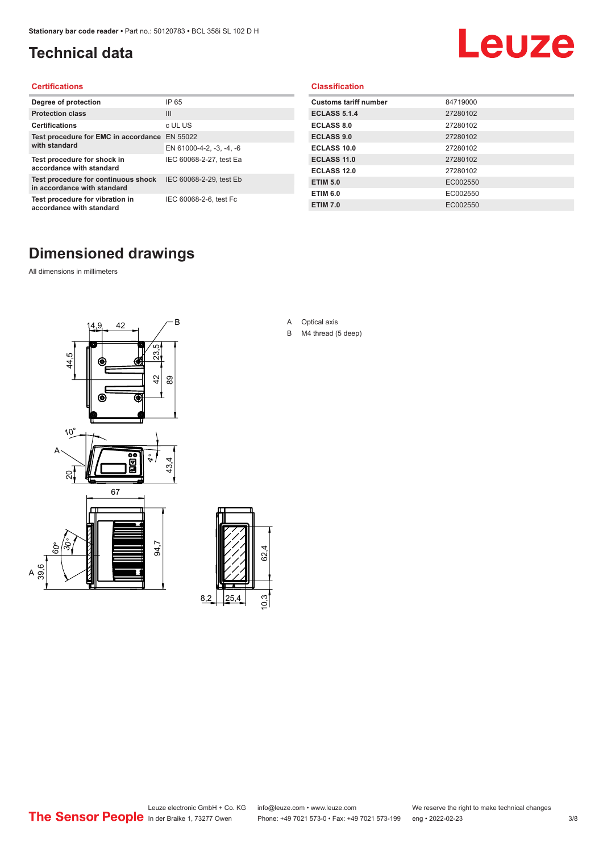### <span id="page-2-0"></span>**Technical data**

# Leuze

#### **Certifications**

| Degree of protection                                               | IP 65                    |
|--------------------------------------------------------------------|--------------------------|
| <b>Protection class</b>                                            | $\mathbf{III}$           |
| <b>Certifications</b>                                              | c UL US                  |
| Test procedure for EMC in accordance<br>with standard              | EN 55022                 |
|                                                                    | EN 61000-4-2, -3, -4, -6 |
| Test procedure for shock in<br>accordance with standard            | IEC 60068-2-27, test Ea  |
| Test procedure for continuous shock<br>in accordance with standard | IEC 60068-2-29, test Eb  |
| Test procedure for vibration in<br>accordance with standard        | IEC 60068-2-6, test Fc   |

#### **Classification**

| <b>Customs tariff number</b> | 84719000 |
|------------------------------|----------|
| <b>ECLASS 5.1.4</b>          | 27280102 |
| <b>ECLASS 8.0</b>            | 27280102 |
| <b>ECLASS 9.0</b>            | 27280102 |
| ECLASS 10.0                  | 27280102 |
| <b>ECLASS 11.0</b>           | 27280102 |
| ECLASS 12.0                  | 27280102 |
| <b>ETIM 5.0</b>              | EC002550 |
| <b>ETIM 6.0</b>              | EC002550 |
| <b>ETIM 7.0</b>              | EC002550 |

### **Dimensioned drawings**

All dimensions in millimeters

 $\overline{A}$ 





- A Optical axis
- B M4 thread (5 deep)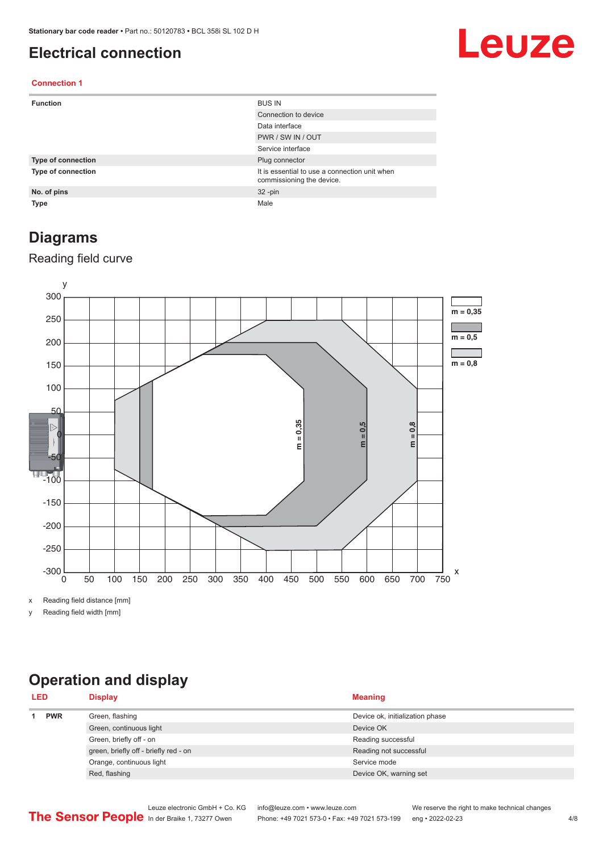#### <span id="page-3-0"></span>**Electrical connection**

# Leuze

#### **Connection 1**

| <b>Function</b>           | <b>BUS IN</b>                                                              |
|---------------------------|----------------------------------------------------------------------------|
|                           | Connection to device                                                       |
|                           | Data interface                                                             |
|                           | PWR / SW IN / OUT                                                          |
|                           | Service interface                                                          |
| <b>Type of connection</b> | Plug connector                                                             |
| <b>Type of connection</b> | It is essential to use a connection unit when<br>commissioning the device. |
| No. of pins               | $32 - pin$                                                                 |
| <b>Type</b>               | Male                                                                       |

#### **Diagrams**

#### Reading field curve



x Reading field distance [mm]

y Reading field width [mm]

## **Operation and display**

| <b>LED</b> |            | <b>Display</b>                        | <b>Meaning</b>                  |
|------------|------------|---------------------------------------|---------------------------------|
|            | <b>PWR</b> | Green, flashing                       | Device ok, initialization phase |
|            |            | Green, continuous light               | Device OK                       |
|            |            | Green, briefly off - on               | Reading successful              |
|            |            | green, briefly off - briefly red - on | Reading not successful          |
|            |            | Orange, continuous light              | Service mode                    |
|            |            | Red, flashing                         | Device OK, warning set          |
|            |            |                                       |                                 |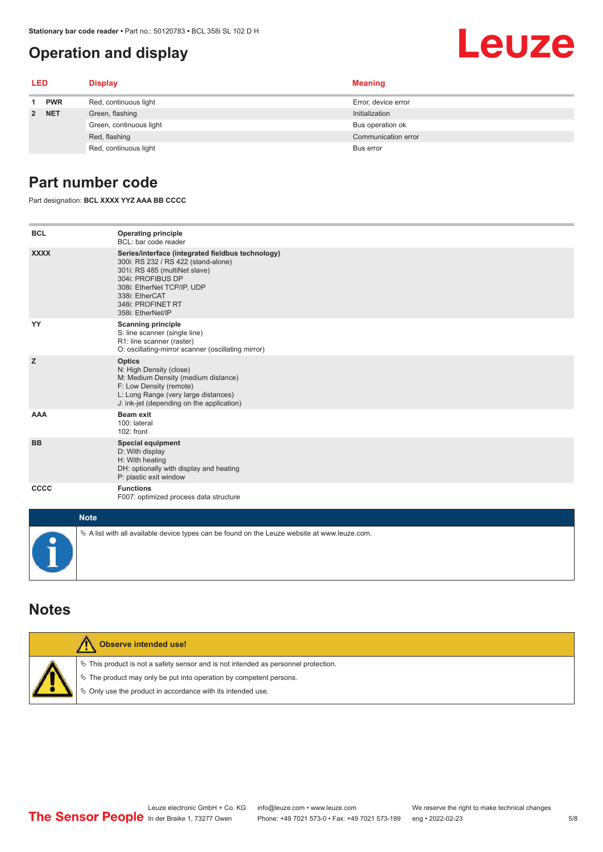## **Operation and display**

<span id="page-4-0"></span>

|     | $\mu$ alionaly bar coue reader $\ast$ Part no 50 (2076) $\ast$ BUL 356( SL 102 D H<br><b>Operation and display</b> |                         |                     | Leuze |
|-----|--------------------------------------------------------------------------------------------------------------------|-------------------------|---------------------|-------|
|     |                                                                                                                    |                         |                     |       |
| LED |                                                                                                                    | <b>Display</b>          | <b>Meaning</b>      |       |
|     | <b>PWR</b>                                                                                                         | Red, continuous light   | Error, device error |       |
|     | 2 NET                                                                                                              | Green, flashing         | Initialization      |       |
|     |                                                                                                                    | Green, continuous light | Bus operation ok    |       |
|     |                                                                                                                    | Red, flashing           | Communication error |       |
|     |                                                                                                                    | Red, continuous light   | Bus error           |       |

#### **Part number code**

Part designation: **BCL XXXX YYZ AAA BB CCCC**

| <b>BCL</b>  | <b>Operating principle</b><br>BCL: bar code reader                                                                                                                                                                                       |
|-------------|------------------------------------------------------------------------------------------------------------------------------------------------------------------------------------------------------------------------------------------|
| <b>XXXX</b> | Series/interface (integrated fieldbus technology)<br>300i: RS 232 / RS 422 (stand-alone)<br>301i: RS 485 (multiNet slave)<br>304i: PROFIBUS DP<br>308i: EtherNet TCP/IP, UDP<br>338i: EtherCAT<br>348i: PROFINET RT<br>358i: EtherNet/IP |
| YY          | <b>Scanning principle</b><br>S: line scanner (single line)<br>R1: line scanner (raster)<br>O: oscillating-mirror scanner (oscillating mirror)                                                                                            |
| z           | <b>Optics</b><br>N: High Density (close)<br>M: Medium Density (medium distance)<br>F: Low Density (remote)<br>L: Long Range (very large distances)<br>J: ink-jet (depending on the application)                                          |
| <b>AAA</b>  | <b>Beam exit</b><br>100: lateral<br>102: front                                                                                                                                                                                           |
| <b>BB</b>   | <b>Special equipment</b><br>D: With display<br>H: With heating<br>DH: optionally with display and heating<br>P: plastic exit window                                                                                                      |
| CCCC        | <b>Functions</b><br>F007: optimized process data structure                                                                                                                                                                               |
| <b>Note</b> |                                                                                                                                                                                                                                          |
|             | $\&$ A list with all available device types can be found on the Leuze website at www.leuze.com.                                                                                                                                          |

#### **Notes**

| Observe intended use!                                                                                                                                                                                                         |
|-------------------------------------------------------------------------------------------------------------------------------------------------------------------------------------------------------------------------------|
| $\%$ This product is not a safety sensor and is not intended as personnel protection.<br>$\&$ The product may only be put into operation by competent persons.<br>§ Only use the product in accordance with its intended use. |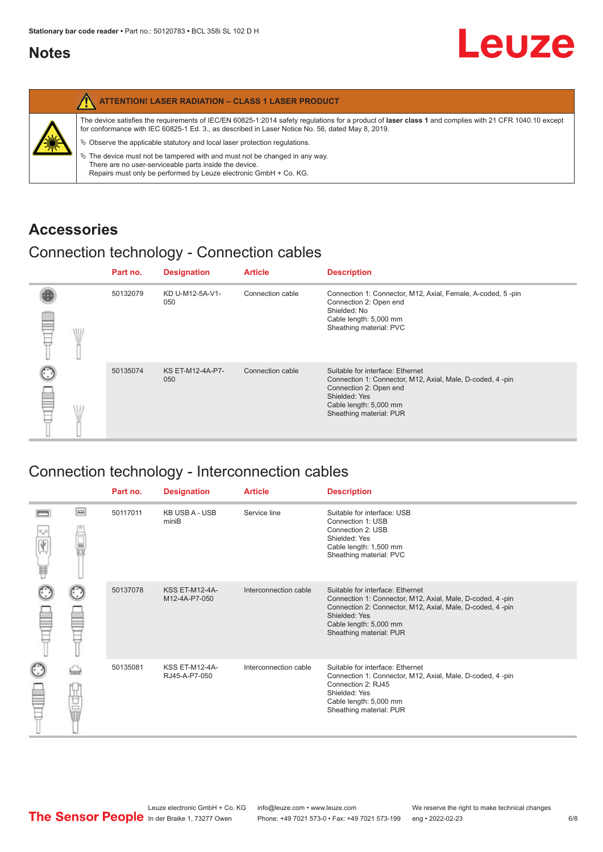#### <span id="page-5-0"></span>**Notes**

|   | <b>ATTENTION! LASER RADIATION - CLASS 1 LASER PRODUCT</b>                                                                                                                                                                                                  |
|---|------------------------------------------------------------------------------------------------------------------------------------------------------------------------------------------------------------------------------------------------------------|
| 纂 | The device satisfies the requirements of IEC/EN 60825-1:2014 safety regulations for a product of laser class 1 and complies with 21 CFR 1040.10 except<br>for conformance with IEC 60825-1 Ed. 3., as described in Laser Notice No. 56, dated May 8, 2019. |
|   | $\&$ Observe the applicable statutory and local laser protection regulations.                                                                                                                                                                              |
|   | $\%$ The device must not be tampered with and must not be changed in any way.<br>There are no user-serviceable parts inside the device.<br>Repairs must only be performed by Leuze electronic GmbH + Co. KG.                                               |

#### **Accessories**

### Connection technology - Connection cables

|      | Part no. | <b>Designation</b>      | <b>Article</b>   | <b>Description</b>                                                                                                                                                                            |
|------|----------|-------------------------|------------------|-----------------------------------------------------------------------------------------------------------------------------------------------------------------------------------------------|
| \ll. | 50132079 | KD U-M12-5A-V1-<br>050  | Connection cable | Connection 1: Connector, M12, Axial, Female, A-coded, 5-pin<br>Connection 2: Open end<br>Shielded: No<br>Cable length: 5,000 mm<br>Sheathing material: PVC                                    |
|      | 50135074 | KS ET-M12-4A-P7-<br>050 | Connection cable | Suitable for interface: Ethernet<br>Connection 1: Connector, M12, Axial, Male, D-coded, 4-pin<br>Connection 2: Open end<br>Shielded: Yes<br>Cable length: 5,000 mm<br>Sheathing material: PUR |

### Connection technology - Interconnection cables

|        |    | Part no. | <b>Designation</b>                     | <b>Article</b>        | <b>Description</b>                                                                                                                                                                                                               |
|--------|----|----------|----------------------------------------|-----------------------|----------------------------------------------------------------------------------------------------------------------------------------------------------------------------------------------------------------------------------|
| Ý<br>Ħ | ▣  | 50117011 | <b>KB USB A - USB</b><br>miniB         | Service line          | Suitable for interface: USB<br>Connection 1: USB<br>Connection 2: USB<br>Shielded: Yes<br>Cable length: 1,500 mm<br>Sheathing material: PVC                                                                                      |
|        |    | 50137078 | <b>KSS ET-M12-4A-</b><br>M12-4A-P7-050 | Interconnection cable | Suitable for interface: Ethernet<br>Connection 1: Connector, M12, Axial, Male, D-coded, 4-pin<br>Connection 2: Connector, M12, Axial, Male, D-coded, 4-pin<br>Shielded: Yes<br>Cable length: 5,000 mm<br>Sheathing material: PUR |
|        | 世軍 | 50135081 | <b>KSS ET-M12-4A-</b><br>RJ45-A-P7-050 | Interconnection cable | Suitable for interface: Ethernet<br>Connection 1: Connector, M12, Axial, Male, D-coded, 4-pin<br>Connection 2: RJ45<br>Shielded: Yes<br>Cable length: 5,000 mm<br>Sheathing material: PUR                                        |

Leuze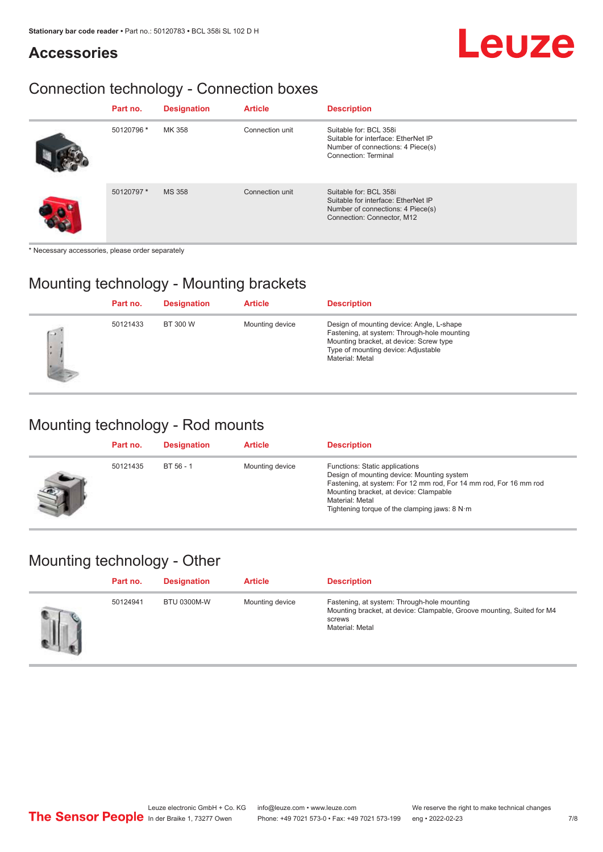# Leuze

## Connection technology - Connection boxes

| Part no.   | <b>Designation</b> | <b>Article</b>  | <b>Description</b>                                                                                                               |
|------------|--------------------|-----------------|----------------------------------------------------------------------------------------------------------------------------------|
| 50120796 * | MK 358             | Connection unit | Suitable for: BCL 358i<br>Suitable for interface: EtherNet IP<br>Number of connections: 4 Piece(s)<br>Connection: Terminal       |
| 50120797 * | <b>MS 358</b>      | Connection unit | Suitable for: BCL 358i<br>Suitable for interface: EtherNet IP<br>Number of connections: 4 Piece(s)<br>Connection: Connector, M12 |

\* Necessary accessories, please order separately

**Accessories**

### Mounting technology - Mounting brackets

|               | Part no. | <b>Designation</b> | <b>Article</b>  | <b>Description</b>                                                                                                                                                                            |
|---------------|----------|--------------------|-----------------|-----------------------------------------------------------------------------------------------------------------------------------------------------------------------------------------------|
| $\rightarrow$ | 50121433 | BT 300 W           | Mounting device | Design of mounting device: Angle, L-shape<br>Fastening, at system: Through-hole mounting<br>Mounting bracket, at device: Screw type<br>Type of mounting device: Adjustable<br>Material: Metal |

#### Mounting technology - Rod mounts

| Part no. | <b>Designation</b> | <b>Article</b>  | <b>Description</b>                                                                                                                                                                                                                                                |
|----------|--------------------|-----------------|-------------------------------------------------------------------------------------------------------------------------------------------------------------------------------------------------------------------------------------------------------------------|
| 50121435 | BT 56 - 1          | Mounting device | Functions: Static applications<br>Design of mounting device: Mounting system<br>Fastening, at system: For 12 mm rod, For 14 mm rod, For 16 mm rod<br>Mounting bracket, at device: Clampable<br>Material: Metal<br>Tightening torque of the clamping jaws: $8 N·m$ |

#### Mounting technology - Other

| Part no. | <b>Designation</b> | <b>Article</b>  | <b>Description</b>                                                                                                                                 |
|----------|--------------------|-----------------|----------------------------------------------------------------------------------------------------------------------------------------------------|
| 50124941 | <b>BTU 0300M-W</b> | Mounting device | Fastening, at system: Through-hole mounting<br>Mounting bracket, at device: Clampable, Groove mounting, Suited for M4<br>screws<br>Material: Metal |